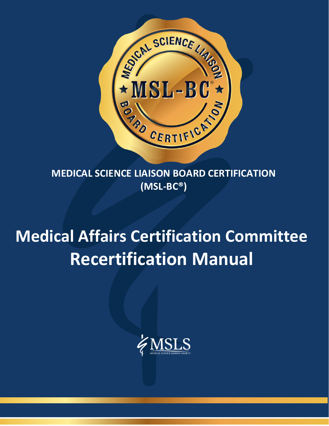

**MEDICAL SCIENCE LIAISON BOARD CERTIFICATION (MSL-BC®)**

# **Medical Affairs Certification Committee Recertification Manual**



MEDICAL SCIENCE LIAISON-BOARD CERTIFICATION (MSL-BC®) 1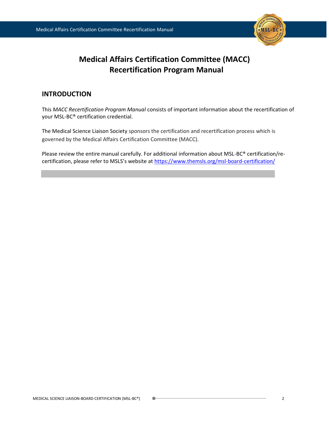

# **Medical Affairs Certification Committee (MACC) Recertification Program Manual**

# **INTRODUCTION**

This *MACC Recertification Program Manual* consists of important information about the recertification of your MSL-BC® certification credential.

The Medical Science Liaison Society sponsors the certification and recertification process which is governed by the Medical Affairs Certification Committee (MACC).

Please review the entire manual carefully. For additional information about MSL-BC® certification/recertification, please refer to MSLS's website at <https://www.themsls.org/msl-board-certification/>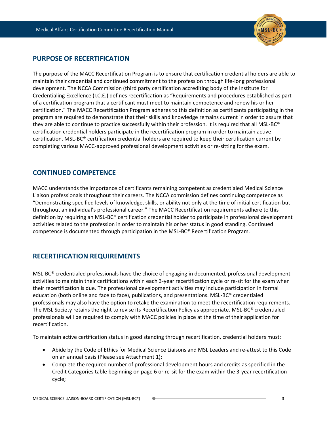

# **PURPOSE OF RECERTIFICATION**

The purpose of the MACC Recertification Program is to ensure that certification credential holders are able to maintain their credential and continued commitment to the profession through life-long professional development. The NCCA Commission (third party certification accrediting body of the Institute for Credentialing Excellence (I.C.E.) defines recertification as "Requirements and procedures established as part of a certification program that a certificant must meet to maintain competence and renew his or her certification." The MACC Recertification Program adheres to this definition as certificants participating in the program are required to demonstrate that their skills and knowledge remains current in order to assure that they are able to continue to practice successfully within their profession. It is required that all MSL-BC® certification credential holders participate in the recertification program in order to maintain active certification. MSL-BC® certification credential holders are required to keep their certification current by completing various MACC-approved professional development activities or re-sitting for the exam.

## **CONTINUED COMPETENCE**

MACC understands the importance of certificants remaining competent as credentialed Medical Science Liaison professionals throughout their careers. The NCCA commission defines continuing competence as "Demonstrating specified levels of knowledge, skills, or ability not only at the time of initial certification but throughout an individual's professional career." The MACC Recertification requirements adhere to this definition by requiring an MSL-BC® certification credential holder to participate in professional development activities related to the profession in order to maintain his or her status in good standing. Continued competence is documented through participation in the MSL-BC® Recertification Program.

# **RECERTIFICATION REQUIREMENTS**

MSL-BC® credentialed professionals have the choice of engaging in documented, professional development activities to maintain their certifications within each 3-year recertification cycle or re-sit for the exam when their recertification is due. The professional development activities may include participation in formal education (both online and face to face), publications, and presentations. MSL-BC® credentialed professionals may also have the option to retake the examination to meet the recertification requirements. The MSL Society retains the right to revise its Recertification Policy as appropriate. MSL-BC® credentialed professionals will be required to comply with MACC policies in place at the time of their application for recertification.

To maintain active certification status in good standing through recertification, credential holders must:

- Abide by the Code of Ethics for Medical Science Liaisons and MSL Leaders and re-attest to this Code on an annual basis (Please see Attachment 1);
- Complete the required number of professional development hours and credits as specified in the Credit Categories table beginning on page 6 or re-sit for the exam within the 3-year recertification cycle;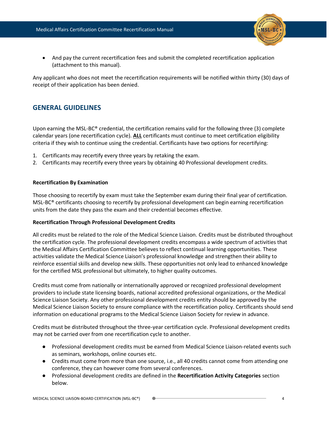

• And pay the current recertification fees and submit the completed recertification application (attachment to this manual).

Any applicant who does not meet the recertification requirements will be notified within thirty (30) days of receipt of their application has been denied.

## **GENERAL GUIDELINES**

Upon earning the MSL-BC® credential, the certification remains valid for the following three (3) complete calendar years (one recertification cycle). **ALL** certificants must continue to meet certification eligibility criteria if they wish to continue using the credential. Certificants have two options for recertifying:

- 1. Certificants may recertify every three years by retaking the exam.
- 2. Certificants may recertify every three years by obtaining 40 Professional development credits.

## **Recertification By Examination**

Those choosing to recertify by exam must take the September exam during their final year of certification. MSL-BC® certificants choosing to recertify by professional development can begin earning recertification units from the date they pass the exam and their credential becomes effective.

## **Recertification Through Professional Development Credits**

All credits must be related to the role of the Medical Science Liaison. Credits must be distributed throughout the certification cycle. The professional development credits encompass a wide spectrum of activities that the Medical Affairs Certification Committee believes to reflect continual learning opportunities. These activities validate the Medical Science Liaison's professional knowledge and strengthen their ability to reinforce essential skills and develop new skills. These opportunities not only lead to enhanced knowledge for the certified MSL professional but ultimately, to higher quality outcomes.

Credits must come from nationally or internationally approved or recognized professional development providers to include state licensing boards, national accredited professional organizations, or the Medical Science Liaison Society. Any other professional development credits entity should be approved by the Medical Science Liaison Society to ensure compliance with the recertification policy. Certificants should send information on educational programs to the Medical Science Liaison Society for review in advance.

Credits must be distributed throughout the three-year certification cycle. Professional development credits may not be carried over from one recertification cycle to another.

- Professional development credits must be earned from Medical Science Liaison-related events such as seminars, workshops, online courses etc.
- Credits must come from more than one source, i.e., all 40 credits cannot come from attending one conference, they can however come from several conferences.
- Professional development credits are defined in the **Recertification Activity Categories** section below.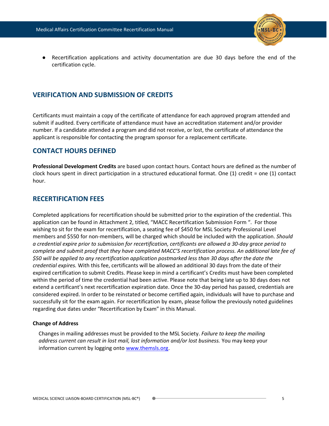

Recertification applications and activity documentation are due 30 days before the end of the certification cycle.

## **VERIFICATION AND SUBMISSION OF CREDITS**

Certificants must maintain a copy of the certificate of attendance for each approved program attended and submit if audited. Every certificate of attendance must have an accreditation statement and/or provider number. If a candidate attended a program and did not receive, or lost, the certificate of attendance the applicant is responsible for contacting the program sponsor for a replacement certificate.

## **CONTACT HOURS DEFINED**

**Professional Development Credits** are based upon contact hours. Contact hours are defined as the number of clock hours spent in direct participation in a structured educational format. One (1) credit = one (1) contact hour.

## **RECERTIFICATION FEES**

Completed applications for recertification should be submitted prior to the expiration of the credential. This application can be found in Attachment 2, titled, "MACC Recertification Submission Form ". For those wishing to sit for the exam for recertification, a seating fee of \$450 for MSL Society Professional Level members and \$550 for non-members, will be charged which should be included with the application. *Should a credential expire prior to submission for recertification, certificants are allowed a 30-day grace period to complete and submit proof that they have completed MACC'S recertification process. An additional late fee of \$50 will be applied to any recertification application postmarked less than 30 days after the date the credential expires.* With this fee, certificants will be allowed an additional 30 days from the date of their expired certification to submit Credits. Please keep in mind a certificant's Credits must have been completed within the period of time the credential had been active. Please note that being late up to 30 days does not extend a certificant's next recertification expiration date. Once the 30-day period has passed, credentials are considered expired. In order to be reinstated or become certified again, individuals will have to purchase and successfully sit for the exam again. For recertification by exam, please follow the previously noted guidelines regarding due dates under "Recertification by Exam" in this Manual.

#### **Change of Address**

Changes in mailing addresses must be provided to the MSL Society. *Failure to keep the mailing address current can result in lost mail, lost information and/or lost business.* You may keep your information current by logging onto [www.themsls.org.](http://www.themsls.org/)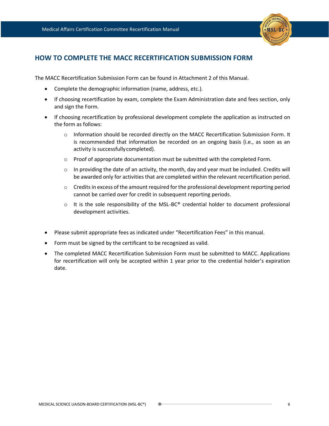

# **HOW TO COMPLETE THE MACC RECERTIFICATION SUBMISSION FORM**

The MACC Recertification Submission Form can be found in Attachment 2 of this Manual.

- Complete the demographic information (name, address, etc.).
- If choosing recertification by exam, complete the Exam Administration date and fees section, only and sign the Form.
- If choosing recertification by professional development complete the application as instructed on the form as follows:
	- o Information should be recorded directly on the MACC Recertification Submission Form. It is recommended that information be recorded on an ongoing basis (i.e., as soon as an activity is successfullycompleted).
	- $\circ$  Proof of appropriate documentation must be submitted with the completed Form.
	- $\circ$  In providing the date of an activity, the month, day and year must be included. Credits will be awarded only for activities that are completed within the relevant recertification period.
	- $\circ$  Credits in excess of the amount required for the professional development reporting period cannot be carried over for credit in subsequent reporting periods.
	- $\circ$  It is the sole responsibility of the MSL-BC<sup>®</sup> credential holder to document professional development activities.
- Please submit appropriate fees as indicated under "Recertification Fees" in this manual.
- Form must be signed by the certificant to be recognized as valid.
- The completed MACC Recertification Submission Form must be submitted to MACC. Applications for recertification will only be accepted within 1 year prior to the credential holder's expiration date.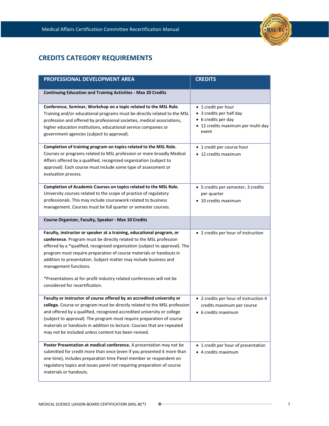

# **CREDITS CATEGORY REQUIREMENTS**

| PROFESSIONAL DEVELOPMENT AREA                                                                                                                                                                                                                                                                                                                                                                                                                                                                               | <b>CREDITS</b>                                                                                                        |
|-------------------------------------------------------------------------------------------------------------------------------------------------------------------------------------------------------------------------------------------------------------------------------------------------------------------------------------------------------------------------------------------------------------------------------------------------------------------------------------------------------------|-----------------------------------------------------------------------------------------------------------------------|
| <b>Continuing Education and Training Activities - Max 20 Credits</b>                                                                                                                                                                                                                                                                                                                                                                                                                                        |                                                                                                                       |
| Conference, Seminar, Workshop on a topic related to the MSL Role.<br>Training and/or educational programs must be directly related to the MSL<br>profession and offered by professional societies, medical associations,<br>higher education institutions, educational service companies or<br>government agencies (subject to approval).                                                                                                                                                                   | • 1 credit per hour<br>• 3 credits per half day<br>• 6 credits per day<br>• 12 credits maximum per multi-day<br>event |
| Completion of training program on topics related to the MSL Role.<br>Courses or programs related to MSL profession or more broadly Medical<br>Affairs offered by a qualified, recognized organization (subject to<br>approval). Each course must include some type of assessment or<br>evaluation process.                                                                                                                                                                                                  | • 1 credit per course hour<br>• 12 credits maximum                                                                    |
| Completion of Academic Courses on topics related to the MSL Role.<br>University courses related to the scope of practice of regulatory<br>professionals. This may include coursework related to business<br>management. Courses must be full quarter or semester courses.                                                                                                                                                                                                                                   | • 5 credits per semester, 3 credits<br>per quarter<br>• 10 credits maximum                                            |
| Course Organizer, Faculty, Speaker - Max 10 Credits                                                                                                                                                                                                                                                                                                                                                                                                                                                         |                                                                                                                       |
| Faculty, instructor or speaker at a training, educational program, or<br>conference. Program must be directly related to the MSL profession<br>offered by a *qualified, recognized organization (subject to approval). The<br>program must require preparation of course materials or handouts in<br>addition to presentation. Subject matter may include business and<br>management functions.<br>*Presentations at for-profit industry related conferences will not be<br>considered for recertification. | • 2 credits per hour of instruction                                                                                   |
| Faculty or instructor of course offered by an accredited university or<br>college. Course or program must be directly related to the MSL profession<br>and offered by a qualified, recognized accredited university or college<br>(subject to approval). The program must require preparation of course<br>materials or handouts in addition to lecture. Courses that are repeated<br>may not be included unless content has been revised.                                                                  | • 2 credits per hour of instruction 4<br>credits maximum per course<br>• 6 credits maximum                            |
| Poster Presentation at medical conference. A presentation may not be<br>submitted for credit more than once (even if you presented it more than<br>one time), includes preparation time Panel member or respondent on<br>regulatory topics and issues panel not requiring preparation of course<br>materials or handouts.                                                                                                                                                                                   | • 1 credit per hour of presentation<br>• 4 credits maximum                                                            |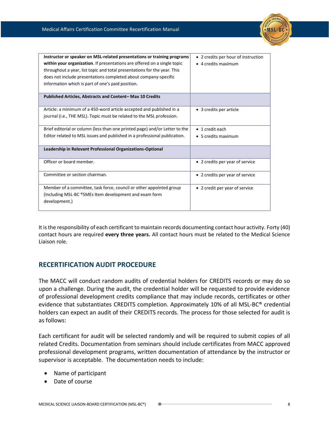

| Instructor or speaker on MSL-related presentations or training programs<br>within your organization. If presentations are offered on a single topic<br>throughout a year, list topic and total presentations for the year. This<br>does not include presentations completed about company-specific<br>information which is part of one's paid position. | • 2 credits per hour of instruction<br>• 4 credits maximum |
|---------------------------------------------------------------------------------------------------------------------------------------------------------------------------------------------------------------------------------------------------------------------------------------------------------------------------------------------------------|------------------------------------------------------------|
| Published Articles, Abstracts and Content-Max 10 Credits                                                                                                                                                                                                                                                                                                |                                                            |
| Article: a minimum of a 450-word article accepted and published in a<br>journal (i.e., THE MSL). Topic must be related to the MSL profession.                                                                                                                                                                                                           | • 3 credits per article                                    |
| Brief editorial or column (less than one printed page) and/or Letter to the                                                                                                                                                                                                                                                                             | $\bullet$ 1 credit each                                    |
| Editor related to MSL issues and published in a professional publication.                                                                                                                                                                                                                                                                               | $\bullet$ 5 credits maximum                                |
| Leadership in Relevant Professional Organizations-Optional                                                                                                                                                                                                                                                                                              |                                                            |
| Officer or board member.                                                                                                                                                                                                                                                                                                                                | • 2 credits per year of service                            |
| Committee or section chairman.                                                                                                                                                                                                                                                                                                                          | • 2 credits per year of service                            |
| Member of a committee, task force, council or other appointed group<br>(Including MSL-BC ®SMEs Item development and exam form<br>development.)                                                                                                                                                                                                          | • 2 credit per year of service                             |

It is the responsibility of each certificant to maintain records documenting contact hour activity. Forty (40) contact hours are required **every three years.** All contact hours must be related to the Medical Science Liaison role.

# **RECERTIFICATION AUDIT PROCEDURE**

The MACC will conduct random audits of credential holders for CREDITS records or may do so upon a challenge. During the audit, the credential holder will be requested to provide evidence of professional development credits compliance that may include records, certificates or other evidence that substantiates CREDITS completion. Approximately 10% of all MSL-BC® credential holders can expect an audit of their CREDITS records. The process for those selected for audit is as follows:

Each certificant for audit will be selected randomly and will be required to submit copies of all related Credits. Documentation from seminars should include certificates from MACC approved professional development programs, written documentation of attendance by the instructor or supervisor is acceptable. The documentation needs to include:

- Name of participant
- Date of course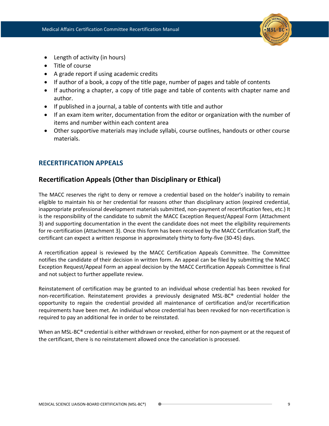

- Length of activity (in hours)
- Title of course
- A grade report if using academic credits
- If author of a book, a copy of the title page, number of pages and table of contents
- If authoring a chapter, a copy of title page and table of contents with chapter name and author.
- If published in a journal, a table of contents with title and author
- If an exam item writer, documentation from the editor or organization with the number of items and number within each content area
- Other supportive materials may include syllabi, course outlines, handouts or other course materials.

## **RECERTIFICATION APPEALS**

# **Recertification Appeals (Other than Disciplinary or Ethical)**

The MACC reserves the right to deny or remove a credential based on the holder's inability to remain eligible to maintain his or her credential for reasons other than disciplinary action (expired credential, inappropriate professional development materials submitted, non-payment of recertification fees, etc.) It is the responsibility of the candidate to submit the MACC Exception Request/Appeal Form (Attachment 3) and supporting documentation in the event the candidate does not meet the eligibility requirements for re-certification (Attachment 3). Once this form has been received by the MACC Certification Staff, the certificant can expect a written response in approximately thirty to forty-five (30-45) days.

A recertification appeal is reviewed by the MACC Certification Appeals Committee. The Committee notifies the candidate of their decision in written form. An appeal can be filed by submitting the MACC Exception Request/Appeal Form an appeal decision by the MACC Certification Appeals Committee is final and not subject to further appellate review.

Reinstatement of certification may be granted to an individual whose credential has been revoked for non-recertification. Reinstatement provides a previously designated MSL-BC® credential holder the opportunity to regain the credential provided all maintenance of certification and/or recertification requirements have been met. An individual whose credential has been revoked for non-recertification is required to pay an additional fee in order to be reinstated.

When an MSL-BC® credential is either withdrawn or revoked, either for non-payment or at the request of the certificant, there is no reinstatement allowed once the cancelation is processed.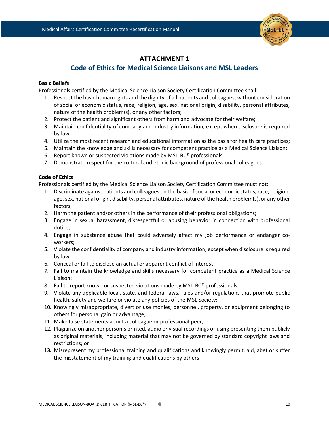

# **ATTACHMENT 1**

# **Code of Ethics for Medical Science Liaisons and MSL Leaders**

#### **Basic Beliefs**

Professionals certified by the Medical Science Liaison Society Certification Committee shall:

- 1. Respect the basic human rights and the dignity of all patients and colleagues, without consideration of social or economic status, race, religion, age, sex, national origin, disability, personal attributes, nature of the health problem(s), or any other factors;
- 2. Protect the patient and significant others from harm and advocate for their welfare;
- 3. Maintain confidentiality of company and industry information, except when disclosure is required by law;
- 4. Utilize the most recent research and educational information as the basis for health care practices;
- 5. Maintain the knowledge and skills necessary for competent practice as a Medical Science Liaison;
- 6. Report known or suspected violations made by MSL-BC® professionals;
- 7. Demonstrate respect for the cultural and ethnic background of professional colleagues.

## **Code of Ethics**

Professionals certified by the Medical Science Liaison Society Certification Committee must not:

- 1. Discriminate against patients and colleagues on the basis of social or economic status, race, religion, age, sex, national origin, disability, personal attributes, nature of the health problem(s), or any other factors;
- 2. Harm the patient and/or others in the performance of their professional obligations;
- 3. Engage in sexual harassment, disrespectful or abusing behavior in connection with professional duties;
- 4. Engage in substance abuse that could adversely affect my job performance or endanger coworkers;
- 5. Violate the confidentiality of company and industry information, except when disclosure is required by law;
- 6. Conceal or fail to disclose an actual or apparent conflict of interest;
- 7. Fail to maintain the knowledge and skills necessary for competent practice as a Medical Science Liaison;
- 8. Fail to report known or suspected violations made by MSL-BC® professionals;
- 9. Violate any applicable local, state, and federal laws, rules and/or regulations that promote public health, safety and welfare or violate any policies of the MSL Society;
- 10. Knowingly misappropriate, divert or use monies, personnel, property, or equipment belonging to others for personal gain or advantage;
- 11. Make false statements about a colleague or professional peer;
- 12. Plagiarize on another person's printed, audio or visual recordings or using presenting them publicly as original materials, including material that may not be governed by standard copyright laws and restrictions; or
- **13.** Misrepresent my professional training and qualifications and knowingly permit, aid, abet or suffer the misstatement of my training and qualifications by others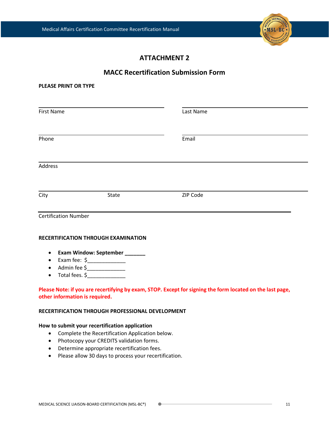

# **ATTACHMENT 2**

## **MACC Recertification Submission Form**

| <b>PLEASE PRINT OR TYPE</b>         |                                                                                                                                                                                                |                                                                                                           |
|-------------------------------------|------------------------------------------------------------------------------------------------------------------------------------------------------------------------------------------------|-----------------------------------------------------------------------------------------------------------|
| <b>First Name</b>                   |                                                                                                                                                                                                | Last Name                                                                                                 |
| Phone                               |                                                                                                                                                                                                | Email                                                                                                     |
| <b>Address</b>                      |                                                                                                                                                                                                |                                                                                                           |
| City                                | State                                                                                                                                                                                          | ZIP Code                                                                                                  |
| <b>Certification Number</b>         |                                                                                                                                                                                                |                                                                                                           |
| $\bullet$<br>$\bullet$<br>$\bullet$ | RECERTIFICATION THROUGH EXAMINATION<br>Exam Window: September _______<br>• Exam fee: $\frac{2}{2}$ Exam fee: $\frac{2}{2}$ Exam fee: $\frac{2}{2}$ Example 2.1<br>Admin fee \$________________ |                                                                                                           |
| other information is required.      |                                                                                                                                                                                                | Please Note: if you are recertifying by exam, STOP. Except for signing the form located on the last page, |
|                                     | RECERTIFICATION THROUGH PROFESSIONAL DEVELOPMENT                                                                                                                                               |                                                                                                           |
| $\bullet$                           | How to submit your recertification application<br>Complete the Recertification Application below.                                                                                              |                                                                                                           |

- Photocopy your CREDITS validation forms.
- Determine appropriate recertification fees.
- Please allow 30 days to process your recertification.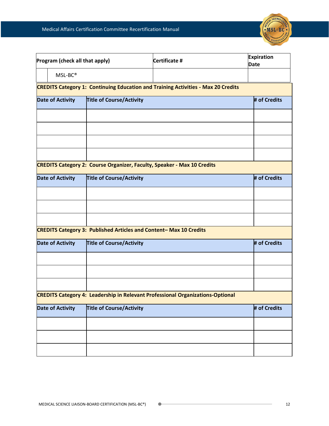

| Program (check all that apply)                                                           |                                 | Certificate #                                                                         | <b>Expiration</b><br><b>Date</b> |  |
|------------------------------------------------------------------------------------------|---------------------------------|---------------------------------------------------------------------------------------|----------------------------------|--|
| MSL-BC®                                                                                  |                                 |                                                                                       |                                  |  |
| <b>CREDITS Category 1: Continuing Education and Training Activities - Max 20 Credits</b> |                                 |                                                                                       |                                  |  |
| <b>Date of Activity</b>                                                                  | <b>Title of Course/Activity</b> |                                                                                       | # of Credits                     |  |
|                                                                                          |                                 |                                                                                       |                                  |  |
|                                                                                          |                                 |                                                                                       |                                  |  |
|                                                                                          |                                 |                                                                                       |                                  |  |
|                                                                                          |                                 |                                                                                       |                                  |  |
| <b>CREDITS Category 2: Course Organizer, Faculty, Speaker - Max 10 Credits</b>           |                                 |                                                                                       |                                  |  |
| <b>Date of Activity</b>                                                                  | <b>Title of Course/Activity</b> |                                                                                       | # of Credits                     |  |
|                                                                                          |                                 |                                                                                       |                                  |  |
|                                                                                          |                                 |                                                                                       |                                  |  |
|                                                                                          |                                 |                                                                                       |                                  |  |
| <b>CREDITS Category 3: Published Articles and Content-Max 10 Credits</b>                 |                                 |                                                                                       |                                  |  |
| <b>Date of Activity</b>                                                                  | <b>Title of Course/Activity</b> |                                                                                       | # of Credits                     |  |
|                                                                                          |                                 |                                                                                       |                                  |  |
|                                                                                          |                                 |                                                                                       |                                  |  |
|                                                                                          |                                 |                                                                                       |                                  |  |
|                                                                                          |                                 | <b>CREDITS Category 4: Leadership in Relevant Professional Organizations-Optional</b> |                                  |  |
| <b>Date of Activity</b>                                                                  | <b>Title of Course/Activity</b> |                                                                                       | # of Credits                     |  |
|                                                                                          |                                 |                                                                                       |                                  |  |
|                                                                                          |                                 |                                                                                       |                                  |  |
|                                                                                          |                                 |                                                                                       |                                  |  |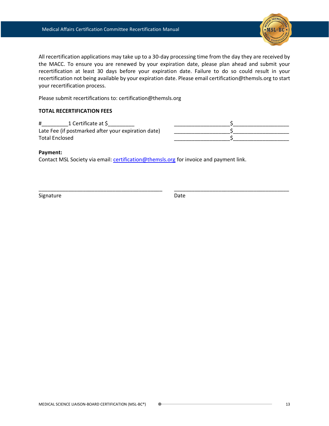

All recertification applications may take up to a 30-day processing time from the day they are received by the MACC. To ensure you are renewed by your expiration date, please plan ahead and submit your recertification at least 30 days before your expiration date. Failure to do so could result in your recertification not being available by your expiration date. Please email certification@themsls.org to start your recertification process.

Please submit recertifications to: certification@themsls.org

#### **TOTAL RECERTIFICATION FEES**

| 1 Certificate at \$<br>#                            |  |
|-----------------------------------------------------|--|
| Late Fee (if postmarked after your expiration date) |  |
| <b>Total Enclosed</b>                               |  |

\_\_\_\_\_\_\_\_\_\_\_\_\_\_\_\_\_\_\_\_\_\_\_\_\_\_\_\_\_\_\_\_\_\_\_\_\_\_\_\_\_\_ \_\_\_\_\_\_\_\_\_\_\_\_\_\_\_\_\_\_\_\_\_\_\_\_\_\_\_\_\_\_\_\_\_\_\_\_\_\_\_

#### **Payment:**

Contact MSL Society via email[: certification@themsls.org](mailto:certification@themsls.org) for invoice and payment link.

Signature Date Date Date